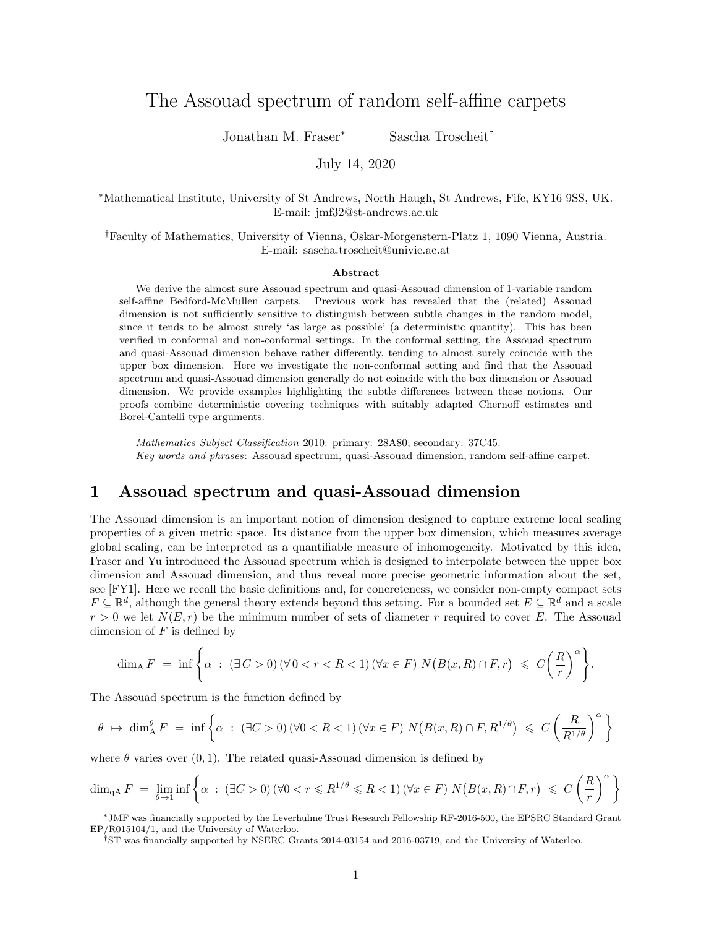# The Assouad spectrum of random self-affine carpets

Jonathan M. Fraser<sup>∗</sup> Sascha Troscheit†

July 14, 2020

<sup>∗</sup>Mathematical Institute, University of St Andrews, North Haugh, St Andrews, Fife, KY16 9SS, UK. E-mail: jmf32@st-andrews.ac.uk

†Faculty of Mathematics, University of Vienna, Oskar-Morgenstern-Platz 1, 1090 Vienna, Austria. E-mail: sascha.troscheit@univie.ac.at

#### Abstract

We derive the almost sure Assouad spectrum and quasi-Assouad dimension of 1-variable random self-affine Bedford-McMullen carpets. Previous work has revealed that the (related) Assouad dimension is not sufficiently sensitive to distinguish between subtle changes in the random model, since it tends to be almost surely 'as large as possible' (a deterministic quantity). This has been verified in conformal and non-conformal settings. In the conformal setting, the Assouad spectrum and quasi-Assouad dimension behave rather differently, tending to almost surely coincide with the upper box dimension. Here we investigate the non-conformal setting and find that the Assouad spectrum and quasi-Assouad dimension generally do not coincide with the box dimension or Assouad dimension. We provide examples highlighting the subtle differences between these notions. Our proofs combine deterministic covering techniques with suitably adapted Chernoff estimates and Borel-Cantelli type arguments.

Mathematics Subject Classification 2010: primary: 28A80; secondary: 37C45. Key words and phrases: Assouad spectrum, quasi-Assouad dimension, random self-affine carpet.

### 1 Assouad spectrum and quasi-Assouad dimension

The Assouad dimension is an important notion of dimension designed to capture extreme local scaling properties of a given metric space. Its distance from the upper box dimension, which measures average global scaling, can be interpreted as a quantifiable measure of inhomogeneity. Motivated by this idea, Fraser and Yu introduced the Assouad spectrum which is designed to interpolate between the upper box dimension and Assouad dimension, and thus reveal more precise geometric information about the set, see [FY1]. Here we recall the basic definitions and, for concreteness, we consider non-empty compact sets  $F \subseteq \mathbb{R}^d$ , although the general theory extends beyond this setting. For a bounded set  $E \subseteq \mathbb{R}^d$  and a scale  $r > 0$  we let  $N(E, r)$  be the minimum number of sets of diameter r required to cover E. The Assouad dimension of  $F$  is defined by

$$
\dim_{A} F = \inf \left\{ \alpha : (\exists C > 0) (\forall 0 < r < R < 1) (\forall x \in F) N (B(x, R) \cap F, r) \leq C \left( \frac{R}{r} \right)^{\alpha} \right\}.
$$

The Assouad spectrum is the function defined by

$$
\theta \mapsto \dim_A^{\theta} F = \inf \left\{ \alpha : (\exists C > 0) (\forall 0 < R < 1) (\forall x \in F) N \big( B(x, R) \cap F, R^{1/\theta} \big) \leq C \left( \frac{R}{R^{1/\theta}} \right)^{\alpha} \right\}
$$

where  $\theta$  varies over  $(0, 1)$ . The related quasi-Assouad dimension is defined by

$$
\dim_{\mathrm{qA}} F = \lim_{\theta \to 1} \inf \left\{ \alpha : (\exists C > 0) \, (\forall 0 < r \leq R^{1/\theta} \leq R < 1) \, (\forall x \in F) \, N \big( B(x, R) \cap F, r \big) \leq C \left( \frac{R}{r} \right)^{\alpha} \right\}
$$

<sup>∗</sup>JMF was financially supported by the Leverhulme Trust Research Fellowship RF-2016-500, the EPSRC Standard Grant EP/R015104/1, and the University of Waterloo.

<sup>†</sup>ST was financially supported by NSERC Grants 2014-03154 and 2016-03719, and the University of Waterloo.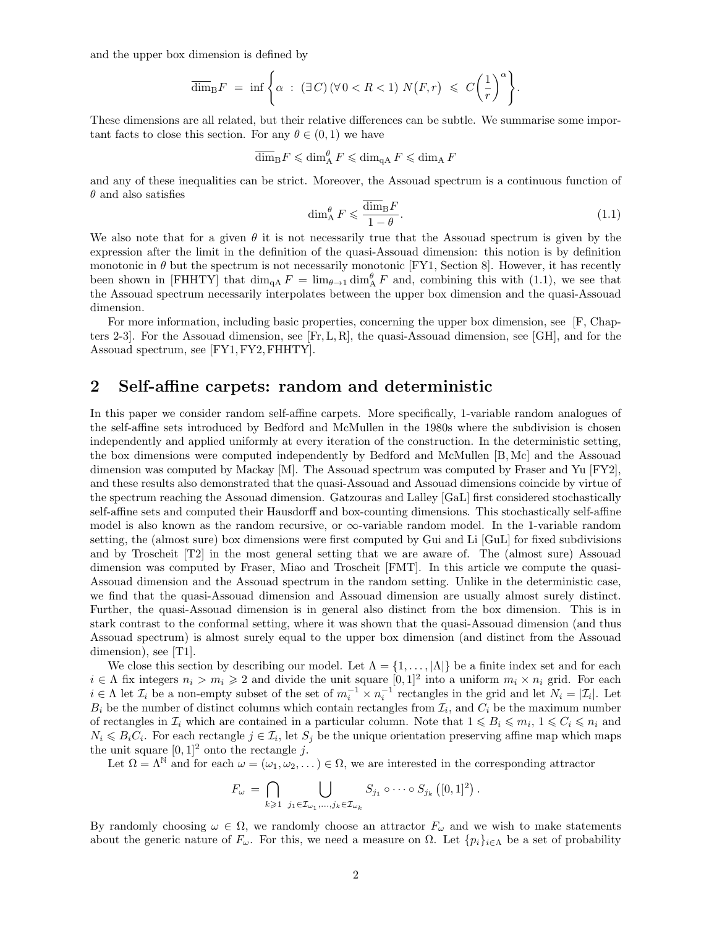and the upper box dimension is defined by

$$
\overline{\dim}_{\mathrm{B}} F = \inf \Bigg\{ \alpha : (\exists C) (\forall 0 < R < 1) \ N(F, r) \leq C \left( \frac{1}{r} \right)^{\alpha} \Bigg\}.
$$

These dimensions are all related, but their relative differences can be subtle. We summarise some important facts to close this section. For any  $\theta \in (0, 1)$  we have

$$
\overline{\dim}_{\mathrm{B}} F \leqslant \dim_{\mathrm{A}}^{\theta} F \leqslant \dim_{\mathrm{qA}} F \leqslant \dim_{\mathrm{A}} F
$$

and any of these inequalities can be strict. Moreover, the Assouad spectrum is a continuous function of  $\theta$  and also satisfies

$$
\dim_{\text{A}}^{\theta} F \leqslant \frac{\dim_{\text{B}} F}{1 - \theta}.\tag{1.1}
$$

We also note that for a given  $\theta$  it is not necessarily true that the Assouad spectrum is given by the expression after the limit in the definition of the quasi-Assouad dimension: this notion is by definition monotonic in  $\theta$  but the spectrum is not necessarily monotonic [FY1, Section 8]. However, it has recently been shown in [FHHTY] that  $\dim_{\text{qA}} F = \lim_{\theta \to 1} \dim_A^{\theta} F$  and, combining this with (1.1), we see that the Assouad spectrum necessarily interpolates between the upper box dimension and the quasi-Assouad dimension.

For more information, including basic properties, concerning the upper box dimension, see [F, Chapters 2-3. For the Assouad dimension, see  $[F, L, R]$ , the quasi-Assouad dimension, see  $|GH|$ , and for the Assouad spectrum, see [FY1,FY2,FHHTY].

# 2 Self-affine carpets: random and deterministic

In this paper we consider random self-affine carpets. More specifically, 1-variable random analogues of the self-affine sets introduced by Bedford and McMullen in the 1980s where the subdivision is chosen independently and applied uniformly at every iteration of the construction. In the deterministic setting, the box dimensions were computed independently by Bedford and McMullen [B, Mc] and the Assouad dimension was computed by Mackay [M]. The Assouad spectrum was computed by Fraser and Yu [FY2], and these results also demonstrated that the quasi-Assouad and Assouad dimensions coincide by virtue of the spectrum reaching the Assouad dimension. Gatzouras and Lalley [GaL] first considered stochastically self-affine sets and computed their Hausdorff and box-counting dimensions. This stochastically self-affine model is also known as the random recursive, or ∞-variable random model. In the 1-variable random setting, the (almost sure) box dimensions were first computed by Gui and Li [GuL] for fixed subdivisions and by Troscheit [T2] in the most general setting that we are aware of. The (almost sure) Assouad dimension was computed by Fraser, Miao and Troscheit [FMT]. In this article we compute the quasi-Assouad dimension and the Assouad spectrum in the random setting. Unlike in the deterministic case, we find that the quasi-Assouad dimension and Assouad dimension are usually almost surely distinct. Further, the quasi-Assouad dimension is in general also distinct from the box dimension. This is in stark contrast to the conformal setting, where it was shown that the quasi-Assouad dimension (and thus Assouad spectrum) is almost surely equal to the upper box dimension (and distinct from the Assouad dimension), see [T1].

We close this section by describing our model. Let  $\Lambda = \{1, \ldots, |\Lambda|\}$  be a finite index set and for each  $i \in \Lambda$  fix integers  $n_i > m_i \geq 2$  and divide the unit square  $[0,1]^2$  into a uniform  $m_i \times n_i$  grid. For each  $i \in \Lambda$  let  $\mathcal{I}_i$  be a non-empty subset of the set of  $m_i^{-1} \times n_i^{-1}$  rectangles in the grid and let  $N_i = |\mathcal{I}_i|$ . Let  $B_i$  be the number of distinct columns which contain rectangles from  $\mathcal{I}_i$ , and  $C_i$  be the maximum number of rectangles in  $\mathcal{I}_i$  which are contained in a particular column. Note that  $1 \leq B_i \leq m_i$ ,  $1 \leq C_i \leq n_i$  and  $N_i \leq B_i C_i$ . For each rectangle  $j \in \mathcal{I}_i$ , let  $S_j$  be the unique orientation preserving affine map which maps the unit square  $[0, 1]^2$  onto the rectangle j.

Let  $\Omega = \Lambda^N$  and for each  $\omega = (\omega_1, \omega_2, \dots) \in \Omega$ , we are interested in the corresponding attractor

$$
F_{\omega} = \bigcap_{k \geq 1} \bigcup_{j_1 \in \mathcal{I}_{\omega_1}, \dots, j_k \in \mathcal{I}_{\omega_k}} S_{j_1} \circ \cdots \circ S_{j_k} ([0,1]^2).
$$

By randomly choosing  $\omega \in \Omega$ , we randomly choose an attractor  $F_{\omega}$  and we wish to make statements about the generic nature of  $F_{\omega}$ . For this, we need a measure on  $\Omega$ . Let  $\{p_i\}_{i\in\Lambda}$  be a set of probability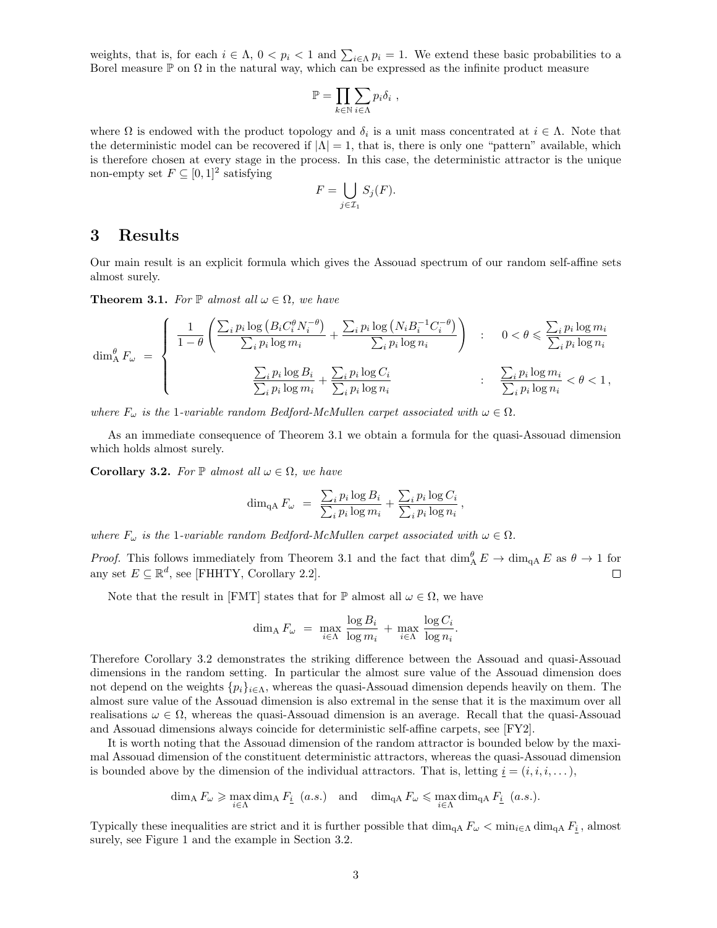weights, that is, for each  $i \in \Lambda$ ,  $0 < p_i < 1$  and  $\sum_{i \in \Lambda} p_i = 1$ . We extend these basic probabilities to a Borel measure  $\mathbb P$  on  $\Omega$  in the natural way, which can be expressed as the infinite product measure

$$
\mathbb{P} = \prod_{k \in \mathbb{N}} \sum_{i \in \Lambda} p_i \delta_i ,
$$

where  $\Omega$  is endowed with the product topology and  $\delta_i$  is a unit mass concentrated at  $i \in \Lambda$ . Note that the deterministic model can be recovered if  $|\Lambda| = 1$ , that is, there is only one "pattern" available, which is therefore chosen at every stage in the process. In this case, the deterministic attractor is the unique non-empty set  $F \subseteq [0,1]^2$  satisfying

$$
F = \bigcup_{j \in \mathcal{I}_1} S_j(F).
$$

### 3 Results

Our main result is an explicit formula which gives the Assouad spectrum of our random self-affine sets almost surely.

**Theorem 3.1.** For  $\mathbb{P}$  almost all  $\omega \in \Omega$ , we have

$$
\dim_{A}^{\theta} F_{\omega} = \begin{cases} \frac{1}{1-\theta} \left( \frac{\sum_{i} p_{i} \log \left( B_{i} C_{i}^{\theta} N_{i}^{-\theta} \right)}{\sum_{i} p_{i} \log m_{i}} + \frac{\sum_{i} p_{i} \log \left( N_{i} B_{i}^{-1} C_{i}^{-\theta} \right)}{\sum_{i} p_{i} \log n_{i}} \right) & : & 0 < \theta \leqslant \frac{\sum_{i} p_{i} \log m_{i}}{\sum_{i} p_{i} \log n_{i}} \\ & & \frac{\sum_{i} p_{i} \log B_{i}}{\sum_{i} p_{i} \log m_{i}} + \frac{\sum_{i} p_{i} \log C_{i}}{\sum_{i} p_{i} \log n_{i}} & : & \frac{\sum_{i} p_{i} \log m_{i}}{\sum_{i} p_{i} \log n_{i}} < \theta < 1, \end{cases}
$$

where  $F_{\omega}$  is the 1-variable random Bedford-McMullen carpet associated with  $\omega \in \Omega$ .

As an immediate consequence of Theorem 3.1 we obtain a formula for the quasi-Assouad dimension which holds almost surely.

Corollary 3.2. For  $\mathbb P$  almost all  $\omega \in \Omega$ , we have

$$
\dim_{\mathrm{qA}} F_{\omega} = \frac{\sum_{i} p_i \log B_i}{\sum_{i} p_i \log m_i} + \frac{\sum_{i} p_i \log C_i}{\sum_{i} p_i \log n_i},
$$

where  $F_{\omega}$  is the 1-variable random Bedford-McMullen carpet associated with  $\omega \in \Omega$ .

*Proof.* This follows immediately from Theorem 3.1 and the fact that  $\dim_A^{\theta} E \to \dim_{\text{qA}} E$  as  $\theta \to 1$  for any set  $E \subseteq \mathbb{R}^d$ , see [FHHTY, Corollary 2.2].  $\Box$ 

Note that the result in [FMT] states that for  $\mathbb P$  almost all  $\omega \in \Omega$ , we have

$$
\dim_{A} F_{\omega} = \max_{i \in \Lambda} \frac{\log B_{i}}{\log m_{i}} + \max_{i \in \Lambda} \frac{\log C_{i}}{\log n_{i}}.
$$

Therefore Corollary 3.2 demonstrates the striking difference between the Assouad and quasi-Assouad dimensions in the random setting. In particular the almost sure value of the Assouad dimension does not depend on the weights  $\{p_i\}_{i\in\Lambda}$ , whereas the quasi-Assouad dimension depends heavily on them. The almost sure value of the Assouad dimension is also extremal in the sense that it is the maximum over all realisations  $\omega \in \Omega$ , whereas the quasi-Assouad dimension is an average. Recall that the quasi-Assouad and Assouad dimensions always coincide for deterministic self-affine carpets, see [FY2].

It is worth noting that the Assouad dimension of the random attractor is bounded below by the maximal Assouad dimension of the constituent deterministic attractors, whereas the quasi-Assouad dimension is bounded above by the dimension of the individual attractors. That is, letting  $\underline{i} = (i, i, i, \dots)$ ,

$$
\dim_\text{A} F_\omega \geqslant \max_{i \in \Lambda} \dim_\text{A} F_{\underline{i}} \ \ (a.s.) \quad \text{and} \quad \dim_{\text{qA}} F_\omega \leqslant \max_{i \in \Lambda} \dim_{\text{qA}} F_{\underline{i}} \ \ (a.s.).
$$

Typically these inequalities are strict and it is further possible that  $\dim_{\text{qA}} F_\omega < \min_{i \in \Lambda} \dim_{\text{qA}} F_i$ , almost surely, see Figure 1 and the example in Section 3.2.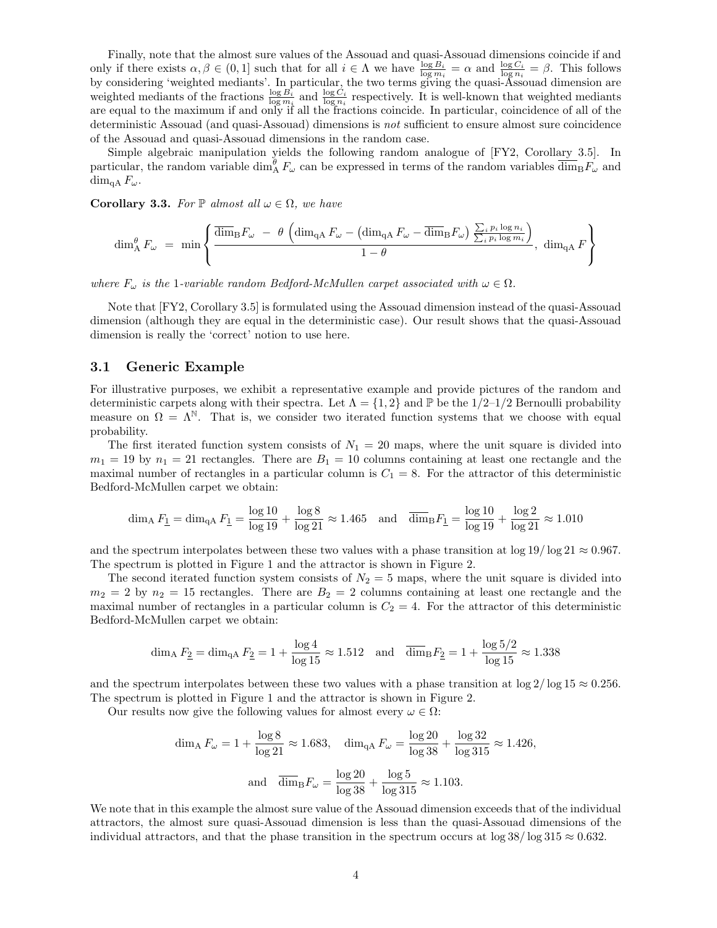Finally, note that the almost sure values of the Assouad and quasi-Assouad dimensions coincide if and only if there exists  $\alpha, \beta \in (0,1]$  such that for all  $i \in \Lambda$  we have  $\frac{\log B_i}{\log m_i} = \alpha$  and  $\frac{\log C_i}{\log n_i} = \beta$ . This follows by considering 'weighted mediants'. In particular, the two terms giving the quasi-Assouad dimension are weighted mediants of the fractions  $\frac{\log B_i}{\log m_i}$  and  $\frac{\log C_i}{\log n_i}$  respectively. It is well-known that weighted mediants are equal to the maximum if and only if all the fractions coincide. In particular, coincidence of all of the deterministic Assouad (and quasi-Assouad) dimensions is not sufficient to ensure almost sure coincidence of the Assouad and quasi-Assouad dimensions in the random case.

Simple algebraic manipulation yields the following random analogue of [FY2, Corollary 3.5]. In particular, the random variable  $\dim_A^{\theta} F_{\omega}$  can be expressed in terms of the random variables  $\overline{\dim}_{\text{B}} F_{\omega}$  and  $\dim_{\mathfrak{a}\mathbf{A}} F_\omega$ .

**Corollary 3.3.** For  $\mathbb{P}$  almost all  $\omega \in \Omega$ , we have

$$
\dim_{A}^{\theta} F_{\omega} = \min \left\{ \frac{\overline{\dim}_{B} F_{\omega} - \theta \left( \dim_{\mathrm{qA}} F_{\omega} - (\dim_{\mathrm{qA}} F_{\omega} - \overline{\dim}_{B} F_{\omega}) \frac{\sum_{i} p_{i} \log n_{i}}{\sum_{i} p_{i} \log m_{i}} \right)}{1 - \theta}, \dim_{\mathrm{qA}} F \right\}
$$

where  $F_{\omega}$  is the 1-variable random Bedford-McMullen carpet associated with  $\omega \in \Omega$ .

Note that [FY2, Corollary 3.5] is formulated using the Assouad dimension instead of the quasi-Assouad dimension (although they are equal in the deterministic case). Our result shows that the quasi-Assouad dimension is really the 'correct' notion to use here.

#### 3.1 Generic Example

For illustrative purposes, we exhibit a representative example and provide pictures of the random and deterministic carpets along with their spectra. Let  $\Lambda = \{1,2\}$  and P be the  $1/2-1/2$  Bernoulli probability measure on  $\Omega = \Lambda^{\mathbb{N}}$ . That is, we consider two iterated function systems that we choose with equal probability.

The first iterated function system consists of  $N_1 = 20$  maps, where the unit square is divided into  $m_1 = 19$  by  $n_1 = 21$  rectangles. There are  $B_1 = 10$  columns containing at least one rectangle and the maximal number of rectangles in a particular column is  $C_1 = 8$ . For the attractor of this deterministic Bedford-McMullen carpet we obtain:

$$
\dim_{A} F_{\underline{1}} = \dim_{\text{qA}} F_{\underline{1}} = \frac{\log 10}{\log 19} + \frac{\log 8}{\log 21} \approx 1.465 \quad \text{and} \quad \overline{\dim}_{B} F_{\underline{1}} = \frac{\log 10}{\log 19} + \frac{\log 2}{\log 21} \approx 1.010
$$

and the spectrum interpolates between these two values with a phase transition at  $\log 19 / \log 21 \approx 0.967$ . The spectrum is plotted in Figure 1 and the attractor is shown in Figure 2.

The second iterated function system consists of  $N_2 = 5$  maps, where the unit square is divided into  $m_2 = 2$  by  $n_2 = 15$  rectangles. There are  $B_2 = 2$  columns containing at least one rectangle and the maximal number of rectangles in a particular column is  $C_2 = 4$ . For the attractor of this deterministic Bedford-McMullen carpet we obtain:

$$
\dim_{A} F_{\frac{2}{}} = \dim_{\mathrm{qA}} F_{\frac{2}{}} = 1 + \frac{\log 4}{\log 15} \approx 1.512 \quad \text{and} \quad \overline{\dim}_{\mathrm{B}} F_{\frac{2}{}} = 1 + \frac{\log 5/2}{\log 15} \approx 1.338
$$

and the spectrum interpolates between these two values with a phase transition at  $\log 2/\log 15 \approx 0.256$ . The spectrum is plotted in Figure 1 and the attractor is shown in Figure 2.

Our results now give the following values for almost every  $\omega \in \Omega$ :

$$
\dim_{A} F_{\omega} = 1 + \frac{\log 8}{\log 21} \approx 1.683, \quad \dim_{\text{qA}} F_{\omega} = \frac{\log 20}{\log 38} + \frac{\log 32}{\log 315} \approx 1.426,
$$
  
and 
$$
\overline{\dim}_{B} F_{\omega} = \frac{\log 20}{\log 38} + \frac{\log 5}{\log 315} \approx 1.103.
$$

We note that in this example the almost sure value of the Assouad dimension exceeds that of the individual attractors, the almost sure quasi-Assouad dimension is less than the quasi-Assouad dimensions of the individual attractors, and that the phase transition in the spectrum occurs at  $\log 38 / \log 315 \approx 0.632$ .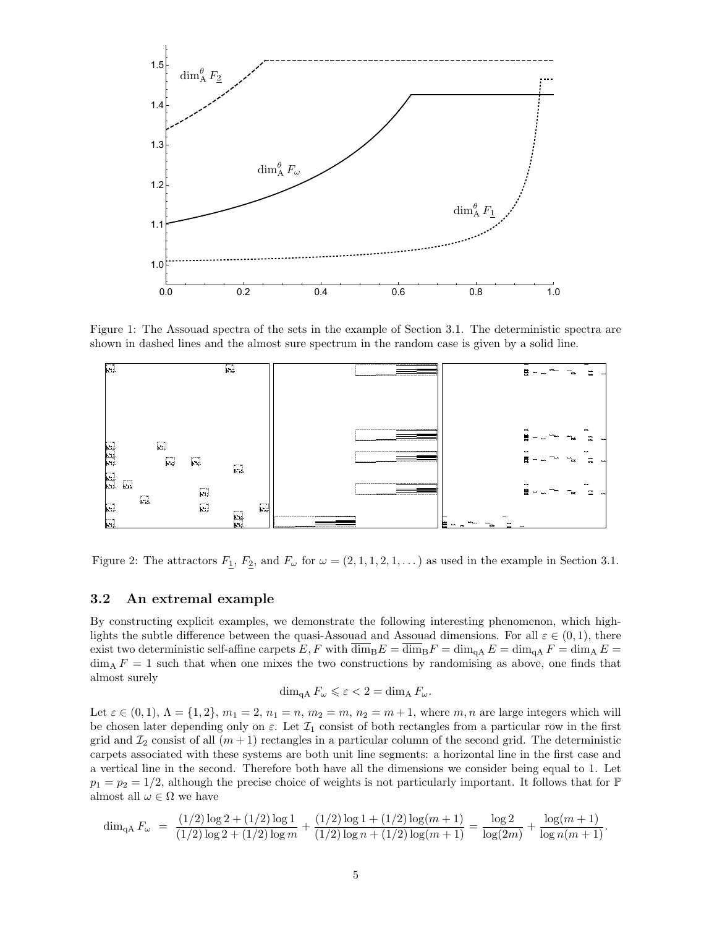

Figure 1: The Assouad spectra of the sets in the example of Section 3.1. The deterministic spectra are shown in dashed lines and the almost sure spectrum in the random case is given by a solid line.



Figure 2: The attractors  $F_1, F_2$ , and  $F_\omega$  for  $\omega = (2, 1, 1, 2, 1, ...)$  as used in the example in Section 3.1.

### 3.2 An extremal example

By constructing explicit examples, we demonstrate the following interesting phenomenon, which highlights the subtle difference between the quasi-Assouad and Assouad dimensions. For all  $\varepsilon \in (0,1)$ , there exist two deterministic self-affine carpets  $E, F$  with  $\overline{\dim}_{\text{B}}E = \overline{\dim}_{\text{B}}F = \dim_{\text{A}}E = \dim_{\text{A}}F = \dim_{\text{A}}E =$  $\dim_\text{A} F = 1$  such that when one mixes the two constructions by randomising as above, one finds that almost surely

$$
\dim_{\mathrm{qA}} F_{\omega} \leqslant \varepsilon < 2 = \dim_{\mathrm{A}} F_{\omega}.
$$

Let  $\varepsilon \in (0, 1), \Lambda = \{1, 2\}, m_1 = 2, n_1 = n, m_2 = m, n_2 = m + 1$ , where m, n are large integers which will be chosen later depending only on  $\varepsilon$ . Let  $\mathcal{I}_1$  consist of both rectangles from a particular row in the first grid and  $\mathcal{I}_2$  consist of all  $(m+1)$  rectangles in a particular column of the second grid. The deterministic carpets associated with these systems are both unit line segments: a horizontal line in the first case and a vertical line in the second. Therefore both have all the dimensions we consider being equal to 1. Let  $p_1 = p_2 = 1/2$ , although the precise choice of weights is not particularly important. It follows that for  $\mathbb P$ almost all  $\omega \in \Omega$  we have

$$
\dim_{\mathrm{qA}} F_{\omega} = \frac{(1/2)\log 2 + (1/2)\log 1}{(1/2)\log 2 + (1/2)\log m} + \frac{(1/2)\log 1 + (1/2)\log(m+1)}{(1/2)\log n + (1/2)\log(m+1)} = \frac{\log 2}{\log(2m)} + \frac{\log(m+1)}{\log n(m+1)}.
$$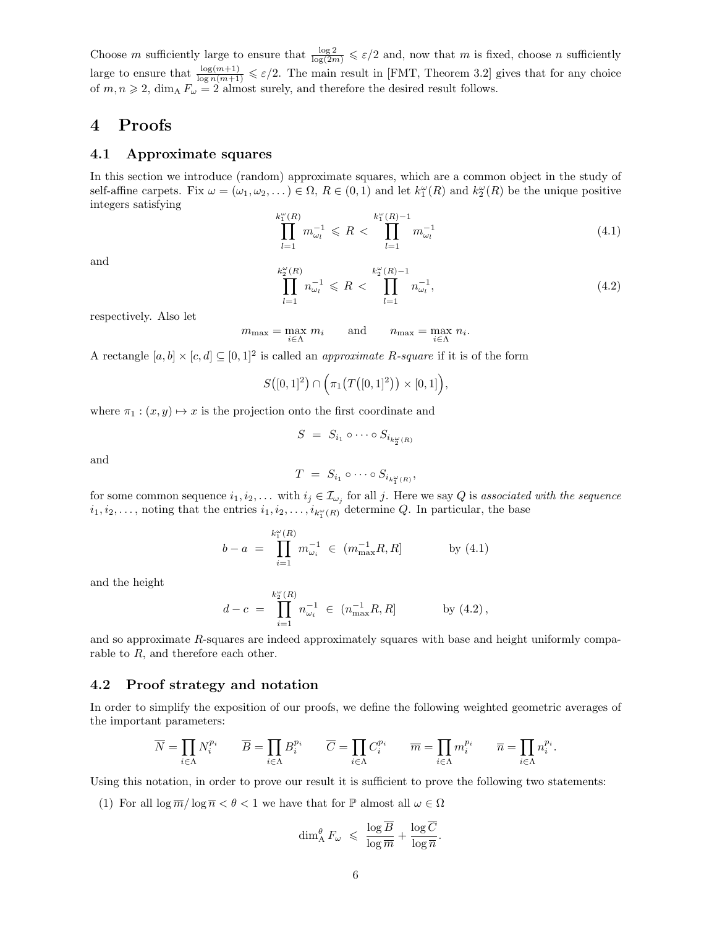Choose m sufficiently large to ensure that  $\frac{\log 2}{\log(2m)} \leqslant \varepsilon/2$  and, now that m is fixed, choose n sufficiently large to ensure that  $\frac{\log(m+1)}{\log n(m+1)} \leqslant \varepsilon/2$ . The main result in [FMT, Theorem 3.2] gives that for any choice of  $m, n \geq 2$ , dim<sub>A</sub>  $F_{\omega} = 2$  almost surely, and therefore the desired result follows.

### 4 Proofs

### 4.1 Approximate squares

In this section we introduce (random) approximate squares, which are a common object in the study of self-affine carpets. Fix  $\omega = (\omega_1, \omega_2, ...) \in \Omega$ ,  $R \in (0, 1)$  and let  $k_1^{\omega}(R)$  and  $k_2^{\omega}(R)$  be the unique positive integers satisfying k

$$
\prod_{l=1}^{\omega_{1}^{o}(R)} m_{\omega_{l}}^{-1} \leqslant R < \prod_{l=1}^{k_{1}^{o}(R)-1} m_{\omega_{l}}^{-1} \tag{4.1}
$$

and

$$
\prod_{l=1}^{k_2^{\omega}(R)} n_{\omega_l}^{-1} \leqslant R < \prod_{l=1}^{k_2^{\omega}(R)-1} n_{\omega_l}^{-1},\tag{4.2}
$$

respectively. Also let

$$
m_{\max} = \max_{i \in \Lambda} m_i \quad \text{and} \quad n_{\max} = \max_{i \in \Lambda} n_i.
$$

A rectangle  $[a, b] \times [c, d] \subseteq [0, 1]^2$  is called an *approximate R-square* if it is of the form

$$
S([0,1]^2) \cap \Big(\pi_1\big(T([0,1]^2\big)\big) \times [0,1]\Big),\,
$$

where  $\pi_1 : (x, y) \mapsto x$  is the projection onto the first coordinate and

$$
S = S_{i_1} \circ \cdots \circ S_{i_{k_2^{\omega}(R)}}
$$

and

$$
T = S_{i_1} \circ \cdots \circ S_{i_{k_1^{\omega}(R)}},
$$

for some common sequence  $i_1, i_2, \ldots$  with  $i_j \in I_{\omega_j}$  for all j. Here we say Q is associated with the sequence  $i_1, i_2, \ldots$ , noting that the entries  $i_1, i_2, \ldots, i_{k_1^{\omega}(R)}$  determine Q. In particular, the base

$$
b - a = \prod_{i=1}^{k_1^{\omega}(R)} m_{\omega_i}^{-1} \in (m_{\max}^{-1}R, R] \qquad \text{by (4.1)}
$$

and the height

$$
d - c = \prod_{i=1}^{k_2^{\omega}(R)} n_{\omega_i}^{-1} \in (n_{\max}^{-1}R, R] \quad \text{by (4.2)},
$$

and so approximate R-squares are indeed approximately squares with base and height uniformly comparable to R, and therefore each other.

#### 4.2 Proof strategy and notation

In order to simplify the exposition of our proofs, we define the following weighted geometric averages of the important parameters:

$$
\overline{N} = \prod_{i \in \Lambda} N_i^{p_i} \qquad \overline{B} = \prod_{i \in \Lambda} B_i^{p_i} \qquad \overline{C} = \prod_{i \in \Lambda} C_i^{p_i} \qquad \overline{m} = \prod_{i \in \Lambda} m_i^{p_i} \qquad \overline{n} = \prod_{i \in \Lambda} n_i^{p_i}.
$$

Using this notation, in order to prove our result it is sufficient to prove the following two statements:

(1) For all  $\log \overline{m}/\log \overline{n} < \theta < 1$  we have that for  $\mathbb P$  almost all  $\omega \in \Omega$ 

$$
\dim_A^{\theta} F_{\omega} \leq \frac{\log \overline{B}}{\log \overline{m}} + \frac{\log \overline{C}}{\log \overline{n}}.
$$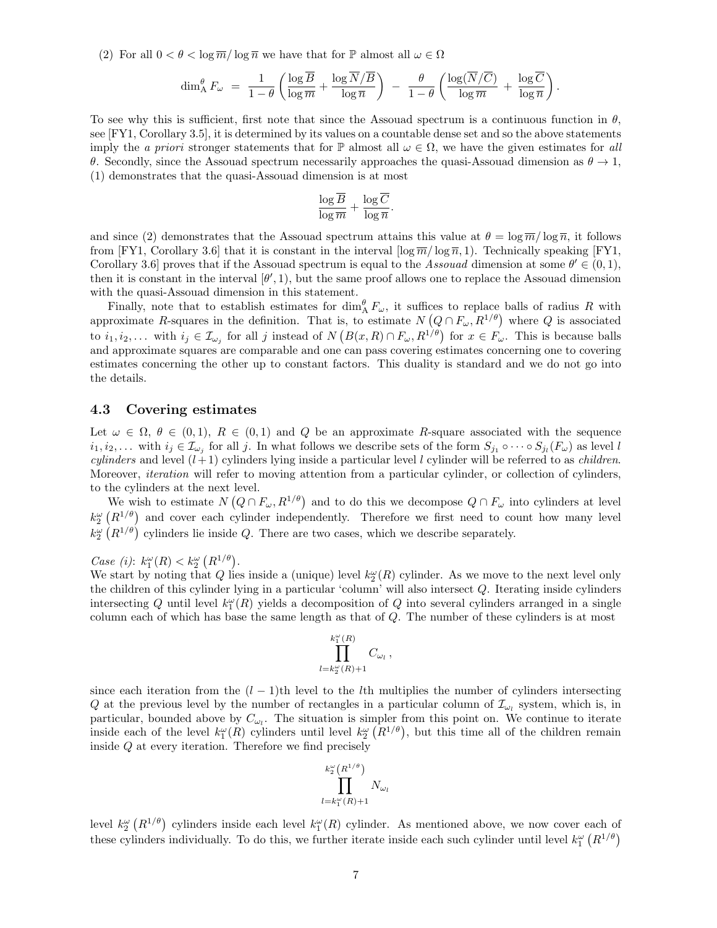(2) For all  $0 < \theta < \log \overline{m}/\log \overline{n}$  we have that for  $\mathbb P$  almost all  $\omega \in \Omega$ 

$$
\dim _{\rm A}^{\theta} F_{\omega}\;=\;\frac{1}{1-\theta}\left(\frac{\log \overline{B}}{\log \overline{m}}+\frac{\log \overline{N}/\overline{B}}{\log \overline{n}}\right)\;-\;\frac{\theta}{1-\theta}\left(\frac{\log (\overline{N}/\overline{C})}{\log \overline{m}}\;+\;\frac{\log \overline{C}}{\log \overline{n}}\right).
$$

To see why this is sufficient, first note that since the Assouad spectrum is a continuous function in  $\theta$ , see [FY1, Corollary 3.5], it is determined by its values on a countable dense set and so the above statements imply the a priori stronger statements that for  $\mathbb P$  almost all  $\omega \in \Omega$ , we have the given estimates for all θ. Secondly, since the Assouad spectrum necessarily approaches the quasi-Assouad dimension as  $θ \rightarrow 1$ , (1) demonstrates that the quasi-Assouad dimension is at most

$$
\frac{\log \overline{B}}{\log \overline{m}} + \frac{\log \overline{C}}{\log \overline{n}}.
$$

and since (2) demonstrates that the Assouad spectrum attains this value at  $\theta = \log \overline{m}/\log \overline{n}$ , it follows from [FY1, Corollary 3.6] that it is constant in the interval  $\lceil \log \overline{m}/\log \overline{n}$ , 1). Technically speaking [FY1, Corollary 3.6] proves that if the Assouad spectrum is equal to the Assouad dimension at some  $\theta' \in (0,1)$ , then it is constant in the interval  $[\theta', 1)$ , but the same proof allows one to replace the Assouad dimension with the quasi-Assouad dimension in this statement.

Finally, note that to establish estimates for  $\dim_A^{\theta} F_{\omega}$ , it suffices to replace balls of radius R with approximate R-squares in the definition. That is, to estimate  $N(Q \cap F_{\omega}, R^{1/\theta})$  where Q is associated to  $i_1, i_2,...$  with  $i_j \in \mathcal{I}_{\omega_j}$  for all j instead of  $N(B(x,R) \cap F_{\omega}, R^{1/\theta})$  for  $x \in F_{\omega}$ . This is because balls and approximate squares are comparable and one can pass covering estimates concerning one to covering estimates concerning the other up to constant factors. This duality is standard and we do not go into the details.

#### 4.3 Covering estimates

Let  $\omega \in \Omega$ ,  $\theta \in (0,1)$ ,  $R \in (0,1)$  and Q be an approximate R-square associated with the sequence  $i_1, i_2, \ldots$  with  $i_j \in \mathcal{I}_{\omega_j}$  for all j. In what follows we describe sets of the form  $S_{j_1} \circ \cdots \circ S_{j_l}(F_\omega)$  as level l *cylinders* and level  $(l+1)$  cylinders lying inside a particular level l cylinder will be referred to as *children*. Moreover, *iteration* will refer to moving attention from a particular cylinder, or collection of cylinders, to the cylinders at the next level.

We wish to estimate  $N(Q \cap F_{\omega}, R^{1/\theta})$  and to do this we decompose  $Q \cap F_{\omega}$  into cylinders at level  $k_2^{\omega}$  ( $R^{1/\theta}$ ) and cover each cylinder independently. Therefore we first need to count how many level  $k_2^{\omega}$  ( $R^{1/\theta}$ ) cylinders lie inside Q. There are two cases, which we describe separately.

Case (i):  $k_1^{\omega}(R) < k_2^{\omega}(R^{1/\theta})$ .

We start by noting that Q lies inside a (unique) level  $k_2^{\omega}(R)$  cylinder. As we move to the next level only the children of this cylinder lying in a particular 'column' will also intersect Q. Iterating inside cylinders intersecting Q until level  $k_1^{\omega}(R)$  yields a decomposition of Q into several cylinders arranged in a single column each of which has base the same length as that of  $Q$ . The number of these cylinders is at most

$$
\prod_{l=k_{2}^{\omega}(R)+1}^{k_{1}^{\omega}(R)}C_{\omega_{l}}\,,
$$

since each iteration from the  $(l-1)$ th level to the lth multiplies the number of cylinders intersecting Q at the previous level by the number of rectangles in a particular column of  $\mathcal{I}_{\omega_l}$  system, which is, in particular, bounded above by  $C_{\omega_l}$ . The situation is simpler from this point on. We continue to iterate inside each of the level  $k_1^{\omega}(R)$  cylinders until level  $k_2^{\omega}(R^{1/\theta})$ , but this time all of the children remain inside Q at every iteration. Therefore we find precisely

$$
\prod_{l=k_1^{\omega}(R)+1}^{k_2^{\omega}(R^{1/\theta})} N_{\omega_l}
$$

level  $k_2^{\omega}$   $(R^{1/\theta})$  cylinders inside each level  $k_1^{\omega}(R)$  cylinder. As mentioned above, we now cover each of these cylinders individually. To do this, we further iterate inside each such cylinder until level  $k_1^{\omega}$   $(R^{1/\theta})$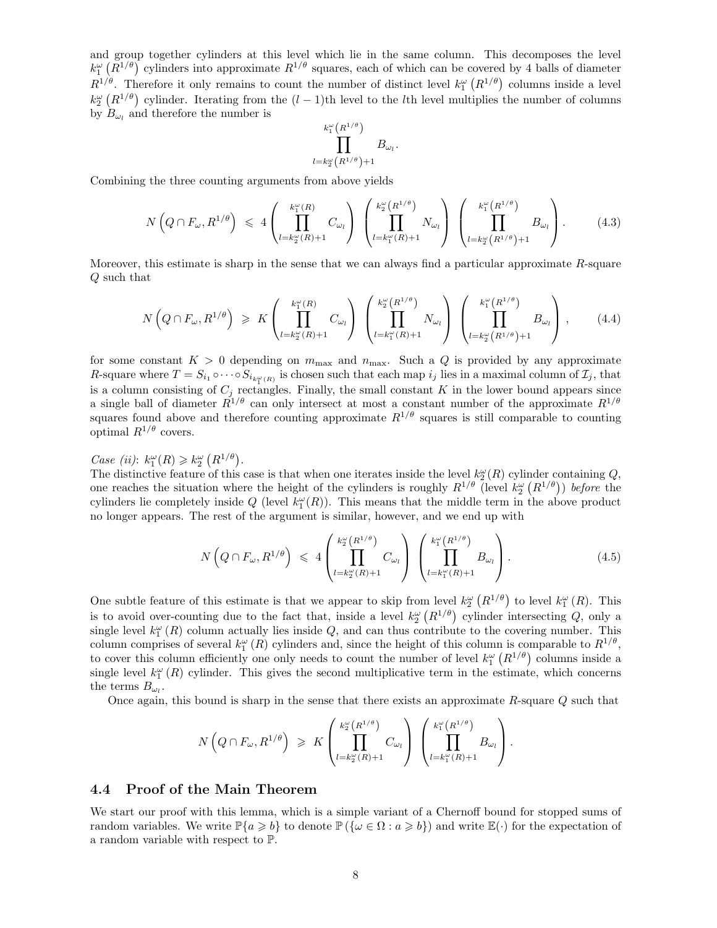and group together cylinders at this level which lie in the same column. This decomposes the level  $k_1^{\omega}$  ( $R^{1/\theta}$ ) cylinders into approximate  $R^{1/\theta}$  squares, each of which can be covered by 4 balls of diameter  $R^{1/\theta}$ . Therefore it only remains to count the number of distinct level  $k_1^{\omega}$   $(R^{1/\theta})$  columns inside a level  $k_2^{\omega}$  ( $R^{1/\theta}$ ) cylinder. Iterating from the  $(l-1)$ th level to the *l*th level multiplies the number of columns by  $B_{\omega_l}$  and therefore the number is

$$
\prod_{l=k_{2}^{\omega}(R^{1/\theta})}^{k_{1}^{\omega}(R^{1/\theta})} B_{\omega_{l}}
$$

Combining the three counting arguments from above yields

$$
N\left(Q \cap F_{\omega}, R^{1/\theta}\right) \leq 4 \left(\prod_{l=k_2^{\omega}(R)+1}^{k_1^{\omega}(R)} C_{\omega_l}\right) \left(\prod_{l=k_1^{\omega}(R)+1}^{k_2^{\omega}(R^{1/\theta})} N_{\omega_l}\right) \left(\prod_{l=k_2^{\omega}(R^{1/\theta})+1}^{k_1^{\omega}(R^{1/\theta})} B_{\omega_l}\right).
$$
(4.3)

.

Moreover, this estimate is sharp in the sense that we can always find a particular approximate  $R$ -square Q such that

$$
N\left(Q \cap F_{\omega}, R^{1/\theta}\right) \geqslant K\left(\prod_{l=k_2^{\omega}(R)+1}^{k_1^{\omega}(R)} C_{\omega_l}\right) \left(\prod_{l=k_1^{\omega}(R)+1}^{k_2^{\omega}(R^{1/\theta})} N_{\omega_l}\right) \left(\prod_{l=k_2^{\omega}(R^{1/\theta})+1}^{k_1^{\omega}(R^{1/\theta})} B_{\omega_l}\right), \quad (4.4)
$$

for some constant  $K > 0$  depending on  $m_{\text{max}}$  and  $n_{\text{max}}$ . Such a Q is provided by any approximate R-square where  $T = S_{i_1} \circ \cdots \circ S_{i_{k_{\tau}(R)}}$  is chosen such that each map  $i_j$  lies in a maximal column of  $\mathcal{I}_j$ , that is a column consisting of  $C_j$  rectangles. Finally, the small constant K in the lower bound appears since a single ball of diameter  $R^{1/\theta}$  can only intersect at most a constant number of the approximate  $R^{1/\theta}$ squares found above and therefore counting approximate  $R^{1/\theta}$  squares is still comparable to counting optimal  $R^{1/\theta}$  covers.

# Case (ii):  $k_1^{\omega}(R) \geq k_2^{\omega}(R^{1/\theta}).$

The distinctive feature of this case is that when one iterates inside the level  $k_2^{\omega}(R)$  cylinder containing Q, one reaches the situation where the height of the cylinders is roughly  $R^{1/\theta}$  (level  $k_2^{\omega} (R^{1/\theta})$ ) before the cylinders lie completely inside Q (level  $k_1^{\omega}(R)$ ). This means that the middle term in the above product no longer appears. The rest of the argument is similar, however, and we end up with

$$
N\left(Q\cap F_{\omega}, R^{1/\theta}\right) \leq 4\left(\prod_{l=k_2^{\omega}(R)+1}^{k_2^{\omega}(R^{1/\theta})} C_{\omega_l}\right) \left(\prod_{l=k_1^{\omega}(R)+1}^{k_1^{\omega}(R^{1/\theta})} B_{\omega_l}\right).
$$
\n(4.5)

One subtle feature of this estimate is that we appear to skip from level  $k_2^{\omega} (R^{1/\theta})$  to level  $k_1^{\omega} (R)$ . This is to avoid over-counting due to the fact that, inside a level  $k_2^{\omega} (R^{1/\theta})$  cylinder intersecting Q, only a single level  $k_1^{\omega}(R)$  column actually lies inside Q, and can thus contribute to the covering number. This column comprises of several  $k_1^{\omega}(R)$  cylinders and, since the height of this column is comparable to  $R^{1/\theta}$ , to cover this column efficiently one only needs to count the number of level  $k_1^{\omega}$   $(R^{1/\theta})$  columns inside a single level  $k_1^{\omega}(R)$  cylinder. This gives the second multiplicative term in the estimate, which concerns the terms  $B_{\omega_l}$ .

Once again, this bound is sharp in the sense that there exists an approximate  $R$ -square  $Q$  such that

$$
N\left(Q\cap F_{\omega}, R^{1/\theta}\right) \geqslant K\left(\prod_{l=k_2^{\omega}(R)+1}^{k_2^{\omega}(R^{1/\theta})} C_{\omega_l}\right)\left(\prod_{l=k_1^{\omega}(R)+1}^{k_1^{\omega}(R^{1/\theta})} B_{\omega_l}\right).
$$

#### 4.4 Proof of the Main Theorem

We start our proof with this lemma, which is a simple variant of a Chernoff bound for stopped sums of random variables. We write  $\mathbb{P}\{a \geq b\}$  to denote  $\mathbb{P}\{(\omega \in \Omega : a \geq b\})$  and write  $\mathbb{E}(\cdot)$  for the expectation of a random variable with respect to P.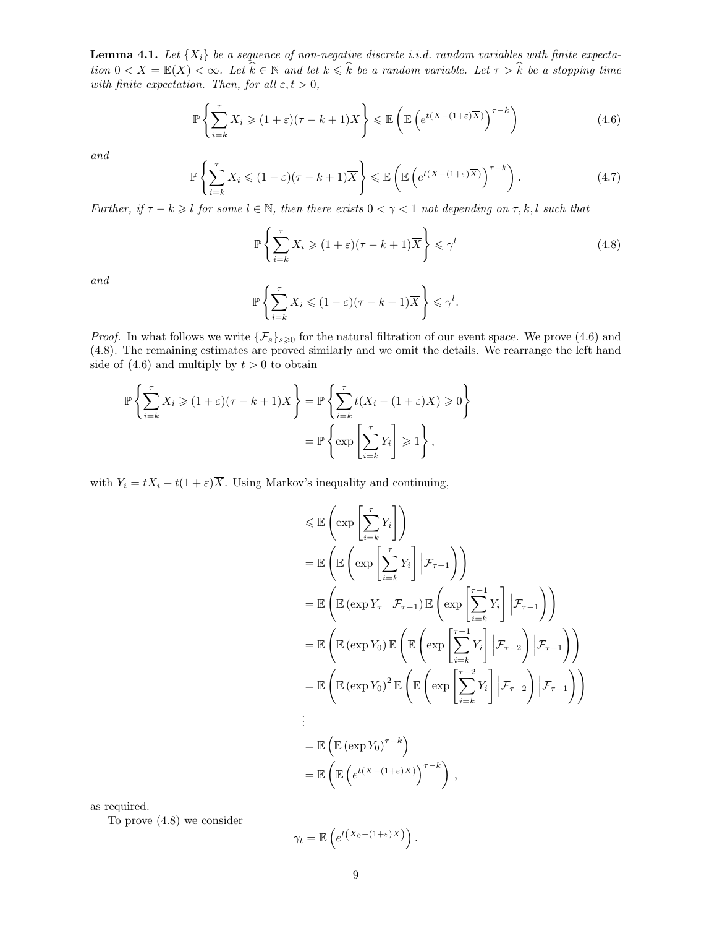**Lemma 4.1.** Let  $\{X_i\}$  be a sequence of non-negative discrete i.i.d. random variables with finite expectation  $0 < \overline{X} = \mathbb{E}(X) < \infty$ . Let  $\hat{k} \in \mathbb{N}$  and let  $k \leq \hat{k}$  be a random variable. Let  $\tau > \hat{k}$  be a stopping time with finite expectation. Then, for all  $\varepsilon, t > 0$ ,

$$
\mathbb{P}\left\{\sum_{i=k}^{\tau} X_i \geqslant (1+\varepsilon)(\tau-k+1)\overline{X}\right\} \leqslant \mathbb{E}\left(\mathbb{E}\left(e^{t(X-(1+\varepsilon)\overline{X})}\right)^{\tau-k}\right) \tag{4.6}
$$

and

$$
\mathbb{P}\left\{\sum_{i=k}^{\tau} X_i \leqslant (1-\varepsilon)(\tau-k+1)\overline{X}\right\} \leqslant \mathbb{E}\left(\mathbb{E}\left(e^{t(X-(1+\varepsilon)\overline{X})}\right)^{\tau-k}\right). \tag{4.7}
$$

Further, if  $\tau - k \geqslant l$  for some  $l \in \mathbb{N}$ , then there exists  $0 < \gamma < 1$  not depending on  $\tau, k, l$  such that

$$
\mathbb{P}\left\{\sum_{i=k}^{\tau} X_i \geqslant (1+\varepsilon)(\tau-k+1)\overline{X}\right\} \leqslant \gamma^l \tag{4.8}
$$

and

$$
\mathbb{P}\left\{\sum_{i=k}^{\tau} X_i \leqslant (1-\varepsilon)(\tau-k+1)\overline{X}\right\} \leqslant \gamma^l.
$$

*Proof.* In what follows we write  $\{\mathcal{F}_s\}_{s\geqslant 0}$  for the natural filtration of our event space. We prove (4.6) and (4.8). The remaining estimates are proved similarly and we omit the details. We rearrange the left hand side of  $(4.6)$  and multiply by  $t > 0$  to obtain

$$
\mathbb{P}\left\{\sum_{i=k}^{\tau} X_i \geqslant (1+\varepsilon)(\tau-k+1)\overline{X}\right\} = \mathbb{P}\left\{\sum_{i=k}^{\tau} t(X_i - (1+\varepsilon)\overline{X}) \geqslant 0\right\}
$$

$$
= \mathbb{P}\left\{\exp\left[\sum_{i=k}^{\tau} Y_i\right] \geqslant 1\right\},\
$$

with  $Y_i = tX_i - t(1+\varepsilon)\overline{X}$ . Using Markov's inequality and continuing,

$$
\leq \mathbb{E}\left(\exp\left[\sum_{i=k}^{\tau} Y_i\right]\right)
$$
\n
$$
= \mathbb{E}\left(\mathbb{E}\left(\exp\left[\sum_{i=k}^{\tau} Y_i\right] | \mathcal{F}_{\tau-1}\right)\right)
$$
\n
$$
= \mathbb{E}\left(\mathbb{E}\left(\exp Y_{\tau} | \mathcal{F}_{\tau-1}\right) \mathbb{E}\left(\exp\left[\sum_{i=k}^{\tau-1} Y_i\right] | \mathcal{F}_{\tau-1}\right)\right)
$$
\n
$$
= \mathbb{E}\left(\mathbb{E}\left(\exp Y_0\right) \mathbb{E}\left(\mathbb{E}\left(\exp\left[\sum_{i=k}^{\tau-1} Y_i\right] | \mathcal{F}_{\tau-2}\right) | \mathcal{F}_{\tau-1}\right)\right)
$$
\n
$$
= \mathbb{E}\left(\mathbb{E}\left(\exp Y_0\right)^2 \mathbb{E}\left(\mathbb{E}\left(\exp\left[\sum_{i=k}^{\tau-2} Y_i\right] | \mathcal{F}_{\tau-2}\right) | \mathcal{F}_{\tau-1}\right)\right)
$$
\n
$$
\vdots
$$
\n
$$
= \mathbb{E}\left(\mathbb{E}\left(\exp Y_0\right)^{\tau-k}\right)
$$
\n
$$
= \mathbb{E}\left(\mathbb{E}\left(e^{t(X-(1+\epsilon)\overline{X})}\right)^{\tau-k}\right),
$$

as required.

To prove (4.8) we consider

$$
\gamma_t = \mathbb{E}\left(e^{t(X_0 - (1+\varepsilon)\overline{X})}\right).
$$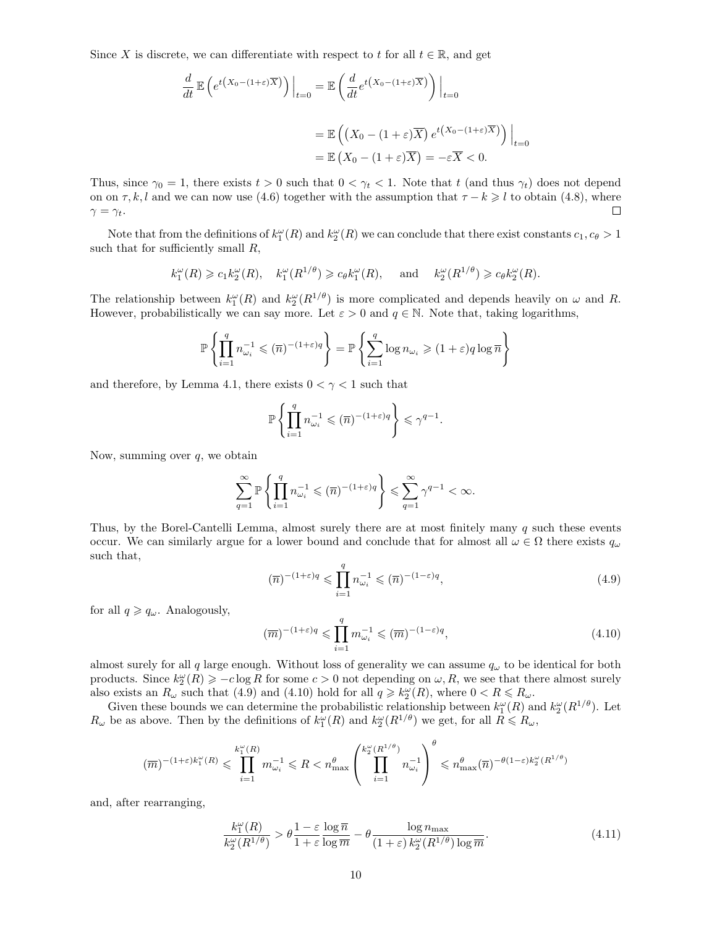Since X is discrete, we can differentiate with respect to t for all  $t \in \mathbb{R}$ , and get

$$
\frac{d}{dt} \mathbb{E} \left( e^{t(X_0 - (1+\varepsilon)\overline{X})} \right) \Big|_{t=0} = \mathbb{E} \left( \frac{d}{dt} e^{t(X_0 - (1+\varepsilon)\overline{X})} \right) \Big|_{t=0}
$$

$$
= \mathbb{E} \left( (X_0 - (1+\varepsilon)\overline{X}) e^{t(X_0 - (1+\varepsilon)\overline{X})} \right) \Big|_{t=0}
$$

$$
= \mathbb{E} \left( X_0 - (1+\varepsilon)\overline{X} \right) = -\varepsilon \overline{X} < 0.
$$

Thus, since  $\gamma_0 = 1$ , there exists  $t > 0$  such that  $0 < \gamma_t < 1$ . Note that t (and thus  $\gamma_t$ ) does not depend on on  $\tau$ , k, l and we can now use (4.6) together with the assumption that  $\tau - k \geq l$  to obtain (4.8), where  $\gamma = \gamma_t$ .  $\Box$ 

Note that from the definitions of  $k_1^{\omega}(R)$  and  $k_2^{\omega}(R)$  we can conclude that there exist constants  $c_1, c_{\theta} > 1$ such that for sufficiently small  $R$ ,

$$
k_1^{\omega}(R) \geq c_1 k_2^{\omega}(R), \quad k_1^{\omega}(R^{1/\theta}) \geq c_{\theta} k_1^{\omega}(R), \quad \text{and} \quad k_2^{\omega}(R^{1/\theta}) \geq c_{\theta} k_2^{\omega}(R).
$$

The relationship between  $k_1^{\omega}(R)$  and  $k_2^{\omega}(R^{1/\theta})$  is more complicated and depends heavily on  $\omega$  and R. However, probabilistically we can say more. Let  $\varepsilon > 0$  and  $q \in \mathbb{N}$ . Note that, taking logarithms,

$$
\mathbb{P}\left\{\prod_{i=1}^q n_{\omega_i}^{-1} \leqslant (\overline{n})^{-(1+\varepsilon)q}\right\} = \mathbb{P}\left\{\sum_{i=1}^q \log n_{\omega_i} \geqslant (1+\varepsilon)q\log \overline{n}\right\}
$$

and therefore, by Lemma 4.1, there exists  $0 < \gamma < 1$  such that

$$
\mathbb{P}\left\{\prod_{i=1}^q n_{\omega_i}^{-1} \leqslant (\overline{n})^{-(1+\varepsilon)q}\right\} \leqslant \gamma^{q-1}.
$$

Now, summing over  $q$ , we obtain

$$
\sum_{q=1}^{\infty} \mathbb{P}\left\{ \prod_{i=1}^{q} n_{\omega_i}^{-1} \leqslant (\overline{n})^{-(1+\varepsilon)q} \right\} \leqslant \sum_{q=1}^{\infty} \gamma^{q-1} < \infty.
$$

Thus, by the Borel-Cantelli Lemma, almost surely there are at most finitely many  $q$  such these events occur. We can similarly argue for a lower bound and conclude that for almost all  $\omega \in \Omega$  there exists  $q_{\omega}$ such that,

$$
(\overline{n})^{-(1+\varepsilon)q} \leq \prod_{i=1}^{q} n_{\omega_i}^{-1} \leq (\overline{n})^{-(1-\varepsilon)q},\tag{4.9}
$$

for all  $q \geqslant q_\omega$ . Analogously,

$$
(\overline{m})^{-(1+\varepsilon)q} \leqslant \prod_{i=1}^{q} m_{\omega_i}^{-1} \leqslant (\overline{m})^{-(1-\varepsilon)q}, \tag{4.10}
$$

almost surely for all q large enough. Without loss of generality we can assume  $q_{\omega}$  to be identical for both products. Since  $k_2^{\omega}(R) \geq -c \log R$  for some  $c > 0$  not depending on  $\omega, R$ , we see that there almost surely also exists an  $R_{\omega}$  such that (4.9) and (4.10) hold for all  $q \geq k_2^{\omega}(R)$ , where  $0 < R \leq R_{\omega}$ .

Given these bounds we can determine the probabilistic relationship between  $k_1^{\omega}(R)$  and  $k_2^{\omega}(R^{1/\theta})$ . Let  $R_{\omega}$  be as above. Then by the definitions of  $k_1^{\omega}(R)$  and  $k_2^{\omega}(R^{1/\theta})$  we get, for all  $R \leq R_{\omega}$ ,

$$
(\overline{m})^{-(1+\varepsilon)k_1^{\omega}(R)} \leqslant \prod_{i=1}^{k_1^{\omega}(R)} m_{\omega_i}^{-1} \leqslant R < n_{\max}^{\theta} \left( \prod_{i=1}^{k_2^{\omega}(R^{1/\theta})} n_{\omega_i}^{-1} \right)^{\theta} \leqslant n_{\max}^{\theta}(\overline{n})^{-\theta(1-\varepsilon)k_2^{\omega}(R^{1/\theta})}
$$

and, after rearranging,

$$
\frac{k_1^{\omega}(R)}{k_2^{\omega}(R^{1/\theta})} > \theta \frac{1 - \varepsilon \log \overline{n}}{1 + \varepsilon \log \overline{m}} - \theta \frac{\log n_{\max}}{(1 + \varepsilon) k_2^{\omega}(R^{1/\theta}) \log \overline{m}}.
$$
\n(4.11)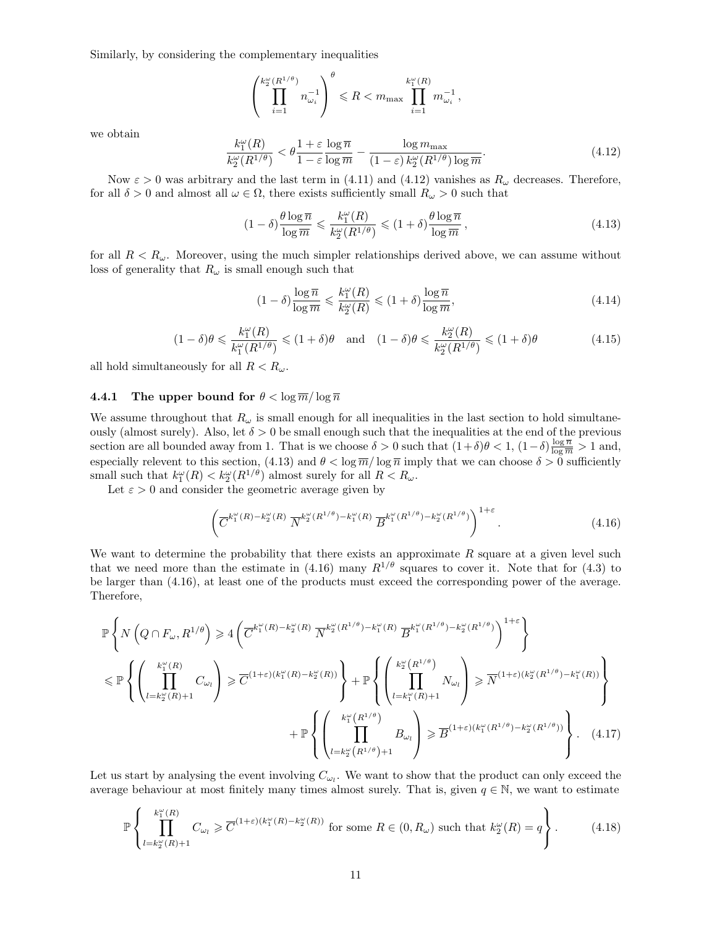Similarly, by considering the complementary inequalities

$$
\left(\prod_{i=1}^{k_2^{\omega}(R^{1/\theta})}n_{\omega_i}^{-1}\right)^{\theta} \leq R < m_{\text{max}}\prod_{i=1}^{k_1^{\omega}(R)}m_{\omega_i}^{-1}\,,
$$

we obtain

$$
\frac{k_1^{\omega}(R)}{k_2^{\omega}(R^{1/\theta})} < \theta \frac{1+\varepsilon}{1-\varepsilon} \frac{\log \overline{n}}{\log \overline{m}} - \frac{\log m_{\max}}{(1-\varepsilon) k_2^{\omega}(R^{1/\theta}) \log \overline{m}}.\tag{4.12}
$$

Now  $\varepsilon > 0$  was arbitrary and the last term in (4.11) and (4.12) vanishes as  $R_{\omega}$  decreases. Therefore, for all  $\delta > 0$  and almost all  $\omega \in \Omega$ , there exists sufficiently small  $R_{\omega} > 0$  such that

$$
(1 - \delta) \frac{\theta \log \overline{n}}{\log \overline{m}} \leqslant \frac{k_1^{\omega}(R)}{k_2^{\omega}(R^{1/\theta})} \leqslant (1 + \delta) \frac{\theta \log \overline{n}}{\log \overline{m}}, \tag{4.13}
$$

for all  $R < R_{\omega}$ . Moreover, using the much simpler relationships derived above, we can assume without loss of generality that  $R_{\omega}$  is small enough such that

$$
(1 - \delta) \frac{\log \overline{n}}{\log \overline{m}} \leqslant \frac{k_1^{\omega}(R)}{k_2^{\omega}(R)} \leqslant (1 + \delta) \frac{\log \overline{n}}{\log \overline{m}},\tag{4.14}
$$

$$
(1 - \delta)\theta \le \frac{k_1^{\omega}(R)}{k_1^{\omega}(R^{1/\theta})} \le (1 + \delta)\theta \quad \text{and} \quad (1 - \delta)\theta \le \frac{k_2^{\omega}(R)}{k_2^{\omega}(R^{1/\theta})} \le (1 + \delta)\theta \tag{4.15}
$$

all hold simultaneously for all  $R < R_{\omega}$ .

#### **4.4.1** The upper bound for  $\theta < \log \overline{m}/\log \overline{n}$

We assume throughout that  $R_{\omega}$  is small enough for all inequalities in the last section to hold simultaneously (almost surely). Also, let  $\delta > 0$  be small enough such that the inequalities at the end of the previous section are all bounded away from 1. That is we choose  $\delta > 0$  such that  $(1+\delta)\theta < 1$ ,  $(1-\delta)\frac{\log \overline{n}}{\log \overline{m}} > 1$  and, especially relevent to this section, (4.13) and  $\theta < \log \overline{n}/\log \overline{n}$  imply that we can choose  $\delta > 0$  sufficiently small such that  $k_1^{\omega}(R) < k_2^{\omega}(R^{1/\theta})$  almost surely for all  $R < R_{\omega}$ .

Let  $\varepsilon > 0$  and consider the geometric average given by

$$
\left(\overline{C}^{k_1^{\omega}(R)-k_2^{\omega}(R)}\ \overline{N}^{k_2^{\omega}(R^{1/\theta})-k_1^{\omega}(R)}\ \overline{B}^{k_1^{\omega}(R^{1/\theta})-k_2^{\omega}(R^{1/\theta})}\right)^{1+\varepsilon}.\tag{4.16}
$$

We want to determine the probability that there exists an approximate  $R$  square at a given level such that we need more than the estimate in (4.16) many  $R^{1/\theta}$  squares to cover it. Note that for (4.3) to be larger than (4.16), at least one of the products must exceed the corresponding power of the average. Therefore,

$$
\mathbb{P}\left\{N\left(Q\cap F_{\omega}, R^{1/\theta}\right) \geqslant 4\left(\overline{C}^{k_1^{\omega}(R)-k_2^{\omega}(R)}\,\overline{N}^{k_2^{\omega}(R^{1/\theta})-k_1^{\omega}(R)}\,\overline{B}^{k_1^{\omega}(R^{1/\theta})-k_2^{\omega}(R^{1/\theta})}\right)^{1+\varepsilon}\right\}
$$
\n
$$
\leqslant \mathbb{P}\left\{\left(\prod_{l=k_2^{\omega}(R)+1}^{k_1^{\omega}(R)}C_{\omega_l}\right) \geqslant \overline{C}^{(1+\varepsilon)(k_1^{\omega}(R)-k_2^{\omega}(R))}\right\} + \mathbb{P}\left\{\left(\prod_{l=k_1^{\omega}(R)+1}^{k_2^{\omega}(R^{1/\theta})}N_{\omega_l}\right) \geqslant \overline{N}^{(1+\varepsilon)(k_2^{\omega}(R^{1/\theta})-k_1^{\omega}(R))}\right\}
$$
\n
$$
+ \mathbb{P}\left\{\left(\prod_{l=k_2^{\omega}(R^{1/\theta})}^{k_1^{\omega}(R^{1/\theta})}B_{\omega_l}\right) \geqslant \overline{B}^{(1+\varepsilon)(k_1^{\omega}(R^{1/\theta})-k_2^{\omega}(R^{1/\theta}))}\right\}.\tag{4.17}
$$

Let us start by analysing the event involving  $C_{\omega_l}$ . We want to show that the product can only exceed the average behaviour at most finitely many times almost surely. That is, given  $q \in \mathbb{N}$ , we want to estimate

$$
\mathbb{P}\left\{\prod_{l=k_2^{\omega}(R)+1}^{k_1^{\omega}(R)} C_{\omega_l} \geq \overline{C}^{(1+\varepsilon)(k_1^{\omega}(R)-k_2^{\omega}(R))} \text{ for some } R \in (0,R_{\omega}) \text{ such that } k_2^{\omega}(R) = q \right\}.
$$
 (4.18)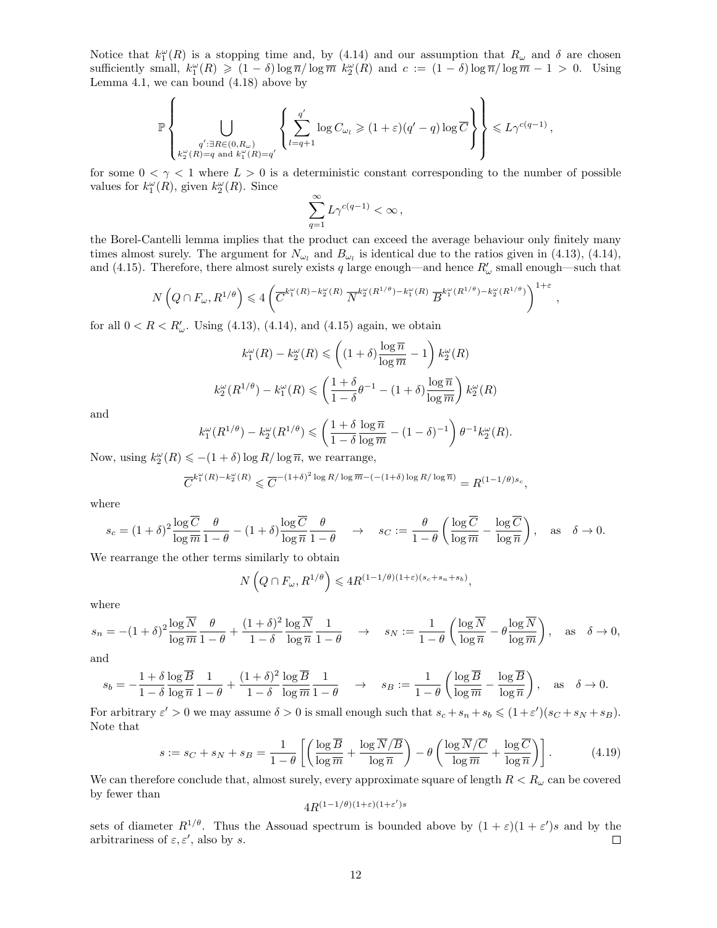Notice that  $k_1^{\omega}(R)$  is a stopping time and, by (4.14) and our assumption that  $R_{\omega}$  and  $\delta$  are chosen sufficiently small,  $k_1^{\omega}(R) \geq (1 - \delta) \log \overline{n}/ \log \overline{m}$   $k_2^{\omega}(R)$  and  $c := (1 - \delta) \log \overline{n}/ \log \overline{m} - 1 > 0$ . Using Lemma 4.1, we can bound (4.18) above by

$$
\mathbb{P}\left\{\bigcup_{\substack{q':\exists R\in(0,R_\omega)\\k_2^\omega(R)=q\text{ and }k_1^\omega(R)=q'}}\left\{\sum_{l=q+1}^{q'}\log C_{\omega_l}\geqslant (1+\varepsilon)(q'-q)\log\overline{C}\right\}\right\}\leqslant L\gamma^{c(q-1)},
$$

for some  $0 < \gamma < 1$  where  $L > 0$  is a deterministic constant corresponding to the number of possible values for  $k_1^{\omega}(R)$ , given  $k_2^{\omega}(R)$ . Since

$$
\sum_{q=1}^{\infty} L\gamma^{c(q-1)} < \infty \,,
$$

the Borel-Cantelli lemma implies that the product can exceed the average behaviour only finitely many times almost surely. The argument for  $N_{\omega_l}$  and  $B_{\omega_l}$  is identical due to the ratios given in (4.13), (4.14), and (4.15). Therefore, there almost surely exists q large enough—and hence  $R'_\omega$  small enough—such that

$$
N\left(Q \cap F_{\omega}, R^{1/\theta}\right) \leq 4 \left( \overline{C}^{k_1^{\omega}(R) - k_2^{\omega}(R)} \ \overline{N}^{k_2^{\omega}(R^{1/\theta}) - k_1^{\omega}(R)} \ \overline{B}^{k_1^{\omega}(R^{1/\theta}) - k_2^{\omega}(R^{1/\theta})} \right)^{1+\varepsilon},
$$

for all  $0 < R < R'_{\omega}$ . Using (4.13), (4.14), and (4.15) again, we obtain

$$
k_1^{\omega}(R) - k_2^{\omega}(R) \le \left( (1+\delta) \frac{\log \overline{n}}{\log \overline{m}} - 1 \right) k_2^{\omega}(R)
$$

$$
k_2^{\omega}(R^{1/\theta}) - k_1^{\omega}(R) \le \left( \frac{1+\delta}{1-\delta} \theta^{-1} - (1+\delta) \frac{\log \overline{n}}{\log \overline{m}} \right) k_2^{\omega}(R)
$$

and

$$
k_1^{\omega}(R^{1/\theta}) - k_2^{\omega}(R^{1/\theta}) \leq \left(\frac{1+\delta}{1-\delta} \frac{\log \overline{n}}{\log \overline{m}} - (1-\delta)^{-1}\right) \theta^{-1} k_2^{\omega}(R).
$$

Now, using  $k_2^{\omega}(R) \leqslant -(1+\delta)\log R/\log \overline{n}$ , we rearrange,

$$
\overline{C}^{k_1^\omega(R)-k_2^\omega(R)}\leqslant \overline{C}^{-(1+\delta)^2\log R/\log \overline{m}-(-(1+\delta)\log R/\log \overline{n})}=R^{(1-1/\theta)s_c},
$$

where

$$
s_c = (1+\delta)^2 \frac{\log \overline{C}}{\log \overline{m}} \frac{\theta}{1-\theta} - (1+\delta) \frac{\log \overline{C}}{\log \overline{n}} \frac{\theta}{1-\theta} \quad \to \quad s_C := \frac{\theta}{1-\theta} \left( \frac{\log \overline{C}}{\log \overline{m}} - \frac{\log \overline{C}}{\log \overline{n}} \right), \quad \text{as} \quad \delta \to 0.
$$

We rearrange the other terms similarly to obtain

$$
N\left(Q\cap F_{\omega}, R^{1/\theta}\right) \leqslant 4R^{(1-1/\theta)(1+\varepsilon)(s_c+s_n+s_b)},
$$

where

$$
s_n = -(1+\delta)^2 \frac{\log \overline{N}}{\log \overline{m}} \frac{\theta}{1-\theta} + \frac{(1+\delta)^2}{1-\delta} \frac{\log \overline{N}}{\log \overline{n}} \frac{1}{1-\theta} \quad \to \quad s_N := \frac{1}{1-\theta} \left( \frac{\log \overline{N}}{\log \overline{n}} - \theta \frac{\log \overline{N}}{\log \overline{m}} \right), \quad \text{as} \quad \delta \to 0,
$$

and

$$
s_b = -\frac{1+\delta}{1-\delta} \frac{\log \overline{B}}{\log \overline{n}} \frac{1}{1-\theta} + \frac{(1+\delta)^2}{1-\delta} \frac{\log \overline{B}}{\log \overline{m}} \frac{1}{1-\theta} \quad \to \quad s_B := \frac{1}{1-\theta} \left( \frac{\log \overline{B}}{\log \overline{m}} - \frac{\log \overline{B}}{\log \overline{n}} \right), \quad \text{as} \quad \delta \to 0.
$$

For arbitrary  $\varepsilon' > 0$  we may assume  $\delta > 0$  is small enough such that  $s_c + s_n + s_b \leq (1 + \varepsilon')(s_C + s_N + s_B)$ . Note that

$$
s := s_C + s_N + s_B = \frac{1}{1 - \theta} \left[ \left( \frac{\log \overline{B}}{\log \overline{m}} + \frac{\log \overline{N} / \overline{B}}{\log \overline{n}} \right) - \theta \left( \frac{\log \overline{N} / \overline{C}}{\log \overline{m}} + \frac{\log \overline{C}}{\log \overline{n}} \right) \right].
$$
 (4.19)

We can therefore conclude that, almost surely, every approximate square of length  $R < R_{\omega}$  can be covered by fewer than

$$
4R^{(1-1/\theta)(1+\varepsilon)(1+\varepsilon')s}
$$

sets of diameter  $R^{1/\theta}$ . Thus the Assouad spectrum is bounded above by  $(1+\varepsilon)(1+\varepsilon')s$  and by the arbitrariness of  $\varepsilon, \varepsilon'$ , also by s.  $\Box$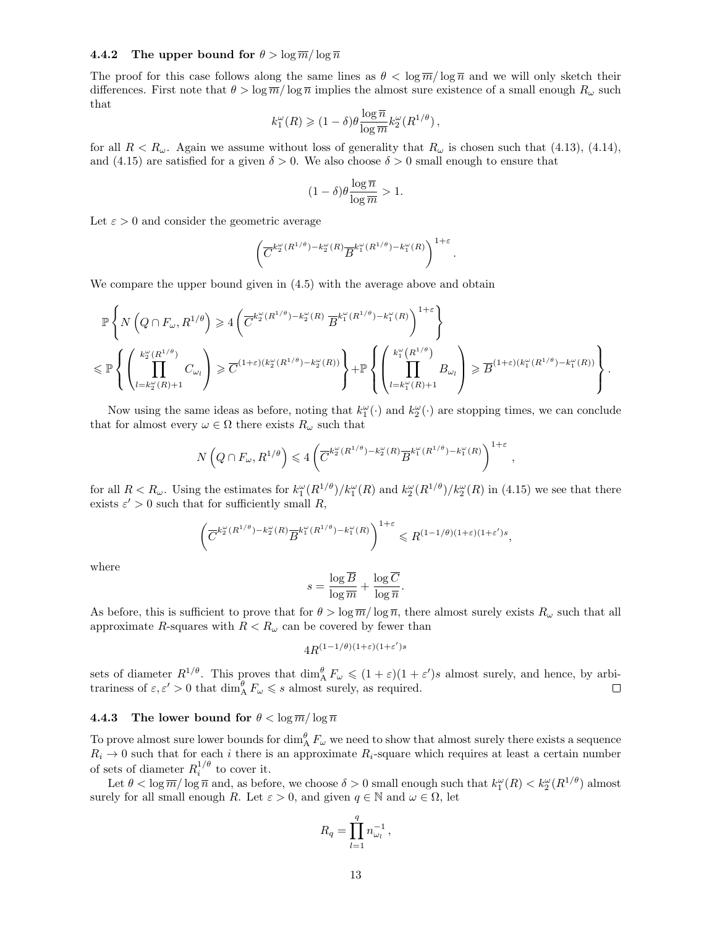#### **4.4.2** The upper bound for  $\theta > \log \overline{m}/\log \overline{n}$

The proof for this case follows along the same lines as  $\theta < \log \overline{m}/\log \overline{n}$  and we will only sketch their differences. First note that  $\theta > \log \overline{m}/\log \overline{n}$  implies the almost sure existence of a small enough  $R_{\omega}$  such that

$$
k_1^\omega(R) \geqslant (1-\delta) \theta \frac{\log \overline{n}}{\log \overline{m}} k_2^\omega(R^{1/\theta}),
$$

for all  $R < R_{\omega}$ . Again we assume without loss of generality that  $R_{\omega}$  is chosen such that (4.13), (4.14), and (4.15) are satisfied for a given  $\delta > 0$ . We also choose  $\delta > 0$  small enough to ensure that

$$
(1 - \delta)\theta \frac{\log \overline{n}}{\log \overline{m}} > 1.
$$

Let  $\varepsilon > 0$  and consider the geometric average

$$
\left(\overline{C}^{k_{2}^{\omega}(R^{1/\theta})-k_{2}^{\omega}(R)}\overline{B}^{k_{1}^{\omega}(R^{1/\theta})-k_{1}^{\omega}(R)}\right)^{1+\varepsilon}.
$$

We compare the upper bound given in (4.5) with the average above and obtain

$$
\begin{split} &\mathbb{P}\left\{N\left(Q\cap F_{\omega},R^{1/\theta}\right)\geqslant 4\left(\overline{C}^{k_{2}^{\omega}(R^{1/\theta})-k_{2}^{\omega}(R)}\ \overline{B}^{k_{1}^{\omega}(R^{1/\theta})-k_{1}^{\omega}(R)}\right)^{1+\varepsilon}\right\} \\ &\leqslant \mathbb{P}\left\{\left(\prod_{l=k_{2}^{\omega}(R)+1}^{k_{2}^{\omega}(R^{1/\theta})}C_{\omega_{l}}\right)\geqslant \overline{C}^{(1+\varepsilon)(k_{2}^{\omega}(R^{1/\theta})-k_{2}^{\omega}(R))}\right\}+\mathbb{P}\left\{\left(\prod_{l=k_{1}^{\omega}(R)+1}^{k_{1}^{\omega}(R^{1/\theta})}B_{\omega_{l}}\right)\geqslant \overline{B}^{(1+\varepsilon)(k_{1}^{\omega}(R^{1/\theta})-k_{1}^{\omega}(R))}\right\}.\end{split}
$$

Now using the same ideas as before, noting that  $k_1^{\omega}(\cdot)$  and  $k_2^{\omega}(\cdot)$  are stopping times, we can conclude that for almost every  $\omega \in \Omega$  there exists  $R_{\omega}$  such that

$$
N\left(Q\cap F_{\omega}, R^{1/\theta}\right) \leqslant 4\left(\overline{C}^{k_2^{\omega}(R^{1/\theta}) - k_2^{\omega}(R)} \overline{B}^{k_1^{\omega}(R^{1/\theta}) - k_1^{\omega}(R)}\right)^{1+\varepsilon}
$$

,

for all  $R < R_\omega$ . Using the estimates for  $k_1^\omega(R^{1/\theta})/k_1^\omega(R)$  and  $k_2^\omega(R^{1/\theta})/k_2^\omega(R)$  in (4.15) we see that there exists  $\varepsilon' > 0$  such that for sufficiently small R,

$$
\left(\overline{C}^{k_2^{\omega}(R^{1/\theta})-k_2^{\omega}(R)}\overline{B}^{k_1^{\omega}(R^{1/\theta})-k_1^{\omega}(R)}\right)^{1+\varepsilon} \leq R^{(1-1/\theta)(1+\varepsilon)(1+\varepsilon')s},
$$

where

$$
s = \frac{\log \overline{B}}{\log \overline{m}} + \frac{\log \overline{C}}{\log \overline{n}}
$$

.

As before, this is sufficient to prove that for  $\theta > \log \overline{m}/\log \overline{n}$ , there almost surely exists  $R_{\omega}$  such that all approximate R-squares with  $R < R_{\omega}$  can be covered by fewer than

$$
4R^{(1-1/\theta)(1+\varepsilon)(1+\varepsilon')s}
$$

sets of diameter  $R^{1/\theta}$ . This proves that  $\dim_{\text{A}}^{\theta} F_{\omega} \leqslant (1+\varepsilon)(1+\varepsilon')s$  almost surely, and hence, by arbitrariness of  $\varepsilon, \varepsilon' > 0$  that  $\dim_{A}^{g} F_{\omega} \leqslant s$  almost surely, as required.

#### **4.4.3** The lower bound for  $\theta < \log \overline{m} / \log \overline{n}$

To prove almost sure lower bounds for  $\dim_A^{\theta} F_{\omega}$  we need to show that almost surely there exists a sequence  $R_i \rightarrow 0$  such that for each i there is an approximate  $R_i$ -square which requires at least a certain number of sets of diameter  $R_i^{1/\theta}$  to cover it.

Let  $\theta < \log \overline{m} / \log \overline{n}$  and, as before, we choose  $\delta > 0$  small enough such that  $k_1^{\omega}(R) < k_2^{\omega}(R^{1/\theta})$  almost surely for all small enough R. Let  $\varepsilon > 0$ , and given  $q \in \mathbb{N}$  and  $\omega \in \Omega$ , let

$$
R_q = \prod_{l=1}^q n_{\omega_l}^{-1},
$$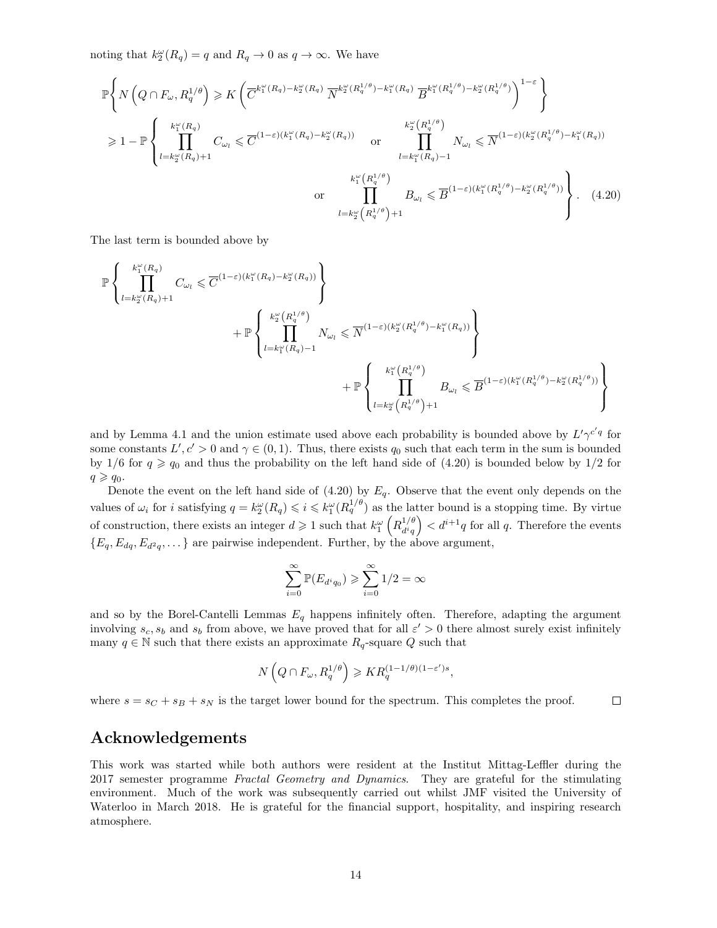noting that  $k_2^{\omega}(R_q) = q$  and  $R_q \to 0$  as  $q \to \infty$ . We have

$$
\mathbb{P}\left\{N\left(Q\cap F_{\omega}, R_q^{1/\theta}\right) \geqslant K\left(\overline{C}^{k_1^{\omega}(R_q)-k_2^{\omega}(R_q)}\ \overline{N}^{k_2^{\omega}(R_q^{1/\theta})-k_1^{\omega}(R_q)}\ \overline{B}^{k_1^{\omega}(R_q^{1/\theta})-k_2^{\omega}(R_q^{1/\theta})}\right)^{1-\varepsilon}\right\}
$$
\n
$$
\geqslant 1 - \mathbb{P}\left\{\prod_{l=k_2^{\omega}(R_q)+1}^{k_1^{\omega}(R_q)} C_{\omega_l} \leqslant \overline{C}^{(1-\varepsilon)(k_1^{\omega}(R_q)-k_2^{\omega}(R_q))} \text{ or } \prod_{l=k_1^{\omega}(R_q)-1}^{k_2^{\omega}(R_q^{1/\theta})} N_{\omega_l} \leqslant \overline{N}^{(1-\varepsilon)(k_2^{\omega}(R_q^{1/\theta})-k_1^{\omega}(R_q))}\right\}
$$
\n
$$
\text{ or } \prod_{l=k_2^{\omega}(R_q^{1/\theta})}^{k_1^{\omega}(R_q^{1/\theta})} B_{\omega_l} \leqslant \overline{B}^{(1-\varepsilon)(k_1^{\omega}(R_q^{1/\theta})-k_2^{\omega}(R_q^{1/\theta}))}\right\}.
$$
\n
$$
(4.20)
$$

The last term is bounded above by

$$
\begin{split} \mathbb{P}&\left\{\prod_{l=k_{2}^{\omega}(R_{q})+1}^{k_{1}^{\omega}(R_{q})}C_{\omega_{l}}\leqslant \overline{C}^{(1-\varepsilon)(k_{1}^{\omega}(R_{q})-k_{2}^{\omega}(R_{q}))}\right\}\\&+\mathbb{P}&\left\{\prod_{l=k_{1}^{\omega}(R_{q})-1}^{k_{2}^{\omega}(R_{l}^{1/\theta})}N_{\omega_{l}}\leqslant \overline{N}^{(1-\varepsilon)(k_{2}^{\omega}(R_{q}^{1/\theta})-k_{1}^{\omega}(R_{q}))}\right\}\\&+\mathbb{P}&\left\{\prod_{l=k_{2}^{\omega}(R_{q})-1}^{k_{1}^{\omega}(R_{l}^{1/\theta})}B_{\omega_{l}}\leqslant \overline{B}^{(1-\varepsilon)(k_{1}^{\omega}(R_{q}^{1/\theta})-k_{2}^{\omega}(R_{q}^{1/\theta}))}\right\}\\&+\mathbb{P}&\left\{\prod_{l=k_{2}^{\omega}(R_{q}^{1/\theta})+1}^{k_{1}^{\omega}(R_{q}^{1/\theta})-k_{2}^{\omega}(R_{q}^{1/\theta})}\right\} \end{split}
$$

and by Lemma 4.1 and the union estimate used above each probability is bounded above by  $L' \gamma^{c' q}$  for some constants  $L', c' > 0$  and  $\gamma \in (0, 1)$ . Thus, there exists  $q_0$  such that each term in the sum is bounded by 1/6 for  $q \geq q_0$  and thus the probability on the left hand side of (4.20) is bounded below by 1/2 for  $q \geqslant q_0$ .

Denote the event on the left hand side of  $(4.20)$  by  $E_q$ . Observe that the event only depends on the values of  $\omega_i$  for i satisfying  $q = k_2^{\omega}(R_q) \leqslant i \leqslant k_1^{\omega}(R_q^{1/\theta})$  as the latter bound is a stopping time. By virtue of construction, there exists an integer  $d \geqslant 1$  such that  $k_1^{\omega} \left( R_{diq}^{1/\theta} \right)$  $\frac{d^{1/\theta}}{d^{i}q}$   $\big\{ d^{i+1}q \text{ for all } q. \text{ Therefore the events }$  ${E_q, E_{dq}, E_{d^2q}, \dots}$  are pairwise independent. Further, by the above argument,

$$
\sum_{i=0}^{\infty} \mathbb{P}(E_{d^i q_0}) \geqslant \sum_{i=0}^{\infty} 1/2 = \infty
$$

and so by the Borel-Cantelli Lemmas  $E_q$  happens infinitely often. Therefore, adapting the argument involving  $s_c, s_b$  and  $s_b$  from above, we have proved that for all  $\varepsilon' > 0$  there almost surely exist infinitely many  $q \in \mathbb{N}$  such that there exists an approximate  $R_q$ -square Q such that

$$
N\left(Q\cap F_{\omega}, R_q^{1/\theta}\right) \geqslant KR_q^{(1-1/\theta)(1-\varepsilon')s},
$$

where  $s = s_C + s_B + s_N$  is the target lower bound for the spectrum. This completes the proof.  $\Box$ 

### Acknowledgements

This work was started while both authors were resident at the Institut Mittag-Leffler during the 2017 semester programme Fractal Geometry and Dynamics. They are grateful for the stimulating environment. Much of the work was subsequently carried out whilst JMF visited the University of Waterloo in March 2018. He is grateful for the financial support, hospitality, and inspiring research atmosphere.